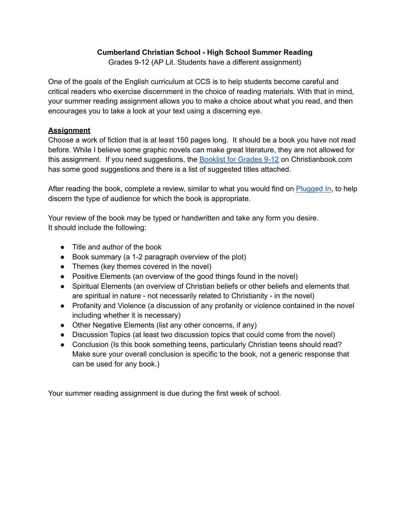## **Cumberland Christian School - High School Summer Reading**

Grades 9-12 (AP Lit. Students have a different assignment)

One of the goals of the English curriculum at CCS is to help students become careful and critical readers who exercise discernment in the choice of reading materials. With that in mind, your summer reading assignment allows you to make a choice about what you read, and then encourages you to take a look at your text using a discerning eye.

## **Assignment**

Choose a work of fiction that is at least 150 pages long. It should be a book you have not read before. While I believe some graphic novels can make great literature, they are not allowed for this assignment. If you need suggestions, the [Booklist](https://www.christianbook.com/page/homeschool/literature/childrens-classic-literature/literature-grades-9-12) for Grades 9-12 on Christianbook.com has some good suggestions and there is a list of suggested titles attached.

After reading the book, complete a review, similar to what you would find on [Plugged](https://www.pluggedin.com/) In, to help discern the type of audience for which the book is appropriate.

Your review of the book may be typed or handwritten and take any form you desire. It should include the following:

- Title and author of the book
- Book summary (a 1-2 paragraph overview of the plot)
- Themes (key themes covered in the novel)
- Positive Elements (an overview of the good things found in the novel)
- Spiritual Elements (an overview of Christian beliefs or other beliefs and elements that are spiritual in nature - not necessarily related to Christianity - in the novel)
- Profanity and Violence (a discussion of any profanity or violence contained in the novel including whether it is necessary)
- Other Negative Elements (list any other concerns, if any)
- Discussion Topics (at least two discussion topics that could come from the novel)
- Conclusion (Is this book something teens, particularly Christian teens should read? Make sure your overall conclusion is specific to the book, not a generic response that can be used for any book.)

Your summer reading assignment is due during the first week of school.